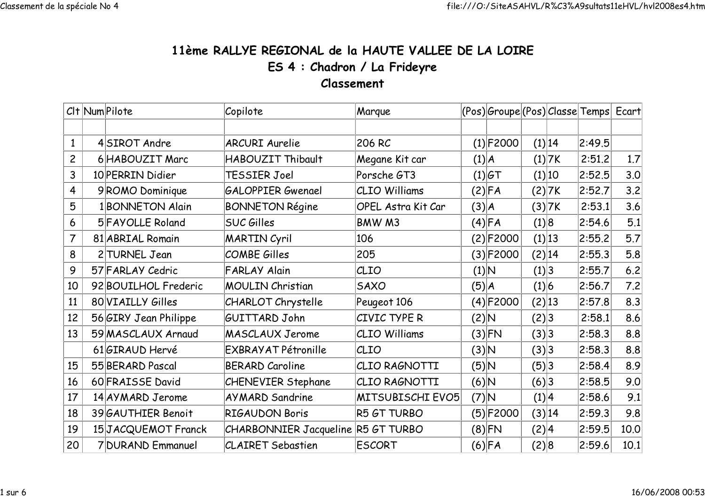## 11ème RALLYE REGIONAL de la HAUTE VALLEE DE LA LOIREES 4 : Chadron / La FrideyreClassement

|                | CIt Num Pilote                              |                       | Copilote                           | Marque             |              | (Pos) Groupe (Pos) Classe Temps  Ecart |        |        |        |      |
|----------------|---------------------------------------------|-----------------------|------------------------------------|--------------------|--------------|----------------------------------------|--------|--------|--------|------|
|                |                                             |                       |                                    |                    |              |                                        |        |        |        |      |
| $\mathbf{1}$   |                                             | 4SIROT Andre          | <b>ARCURI</b> Aurelie              | 206 RC             | $(1)$ F2000  |                                        |        | (1) 14 | 2:49.5 |      |
| $\overline{c}$ | 6 HABOUZIT Marc<br>HABOUZIT Thibault        |                       | Megane Kit car                     | (1) A              |              |                                        | (1) 7K | 2:51.2 | 1.7    |      |
| 3              | 10 PERRIN Didier<br>TESSIER Joel            |                       | Porsche GT3                        |                    | $(1) $ GT    |                                        | (1) 10 | 2:52.5 | 3.0    |      |
| 4              | <b>GALOPPIER Gwenael</b><br>9ROMO Dominique |                       | CLIO Williams                      |                    | (2) FA       |                                        | (2) 7K | 2:52.7 | 3.2    |      |
| 5              |                                             | 1 BONNETON Alain      | <b>BONNETON Régine</b>             | OPEL Astra Kit Car | (3) A        |                                        |        | (3) 7K | 2:53.1 | 3.6  |
| 6              | <b>SUC Gilles</b><br>5 FAYOLLE Roland       |                       | BMW M3                             |                    | (4) FA       | (1) 8                                  |        | 2:54.6 | 5.1    |      |
| 7              | <b>MARTIN Cyril</b><br>81 ABRIAL Romain     |                       | 106                                |                    | (2) F2000    |                                        | (1) 13 | 2:55.2 | 5.7    |      |
| 8              | COMBE Gilles<br>2 TURNEL Jean               |                       | 205                                |                    | $(3) $ F2000 |                                        | (2) 14 | 2:55.3 | 5.8    |      |
| 9              | 57 FARLAY Cedric<br><b>FARLAY Alain</b>     |                       | CLIO                               | (1) N              |              | (1) 3                                  |        | 2:55.7 | $6.2$  |      |
| 10             |                                             | 92 BOUILHOL Frederic  | <b>MOULIN Christian</b>            | <b>SAXO</b>        | (5) A        |                                        | (1) 6  |        | 2:56.7 | 7.2  |
| 11             |                                             | 80 VIAILLY Gilles     | <b>CHARLOT Chrystelle</b>          | Peugeot 106        |              | (4)F2000                               |        | (2) 13 | 2:57.8 | 8.3  |
| 12             |                                             | 56 GIRY Jean Philippe | GUITTARD John                      | CIVIC TYPE R       | (2) N        |                                        | (2) 3  |        | 2:58.1 | 8.6  |
| 13             |                                             | 59 MASCLAUX Arnaud    | <b>MASCLAUX Jerome</b>             | CLIO Williams      |              | (3) FN                                 | (3) 3  |        | 2:58.3 | 8.8  |
|                |                                             | 61 GIRAUD Hervé       | <b>EXBRAYAT Pétronille</b>         | CLIO               | (3) N        |                                        | (3) 3  |        | 2:58.3 | 8.8  |
| 15             |                                             | 55 BERARD Pascal      | <b>BERARD Caroline</b>             | CLIO RAGNOTTI      | (5)N         |                                        | (5) 3  |        | 2:58.4 | 8.9  |
| 16             |                                             | 60 FRAISSE David      | <b>CHENEVIER Stephane</b>          | CLIO RAGNOTTI      | A (6)        |                                        | (6)3   |        | 2:58.5 | 9.0  |
| 17             |                                             | 14 AY MARD Jerome     | <b>AYMARD Sandrine</b>             | MITSUBISCHI EVO5   | $(7)$ N      |                                        | (1) 4  |        | 2:58.6 | 9.1  |
| 18             |                                             | 39 GAUTHIER Benoit    | <b>RIGAUDON Boris</b>              | R5 GT TURBO        |              | $(5) $ F2000                           |        | (3) 14 | 2:59.3 | 9.8  |
| 19             |                                             | 15JACQUEMOT Franck    | CHARBONNIER Jacqueline R5 GT TURBO |                    |              | $(8)$ FN                               | (2) 4  |        | 2:59.5 | 10.0 |
| 20             |                                             | 7 DURAND Emmanuel     | <b>CLAIRET Sebastien</b>           | <b>ESCORT</b>      |              | (6) FA                                 | (2) 8  |        | 2:59.6 | 10.1 |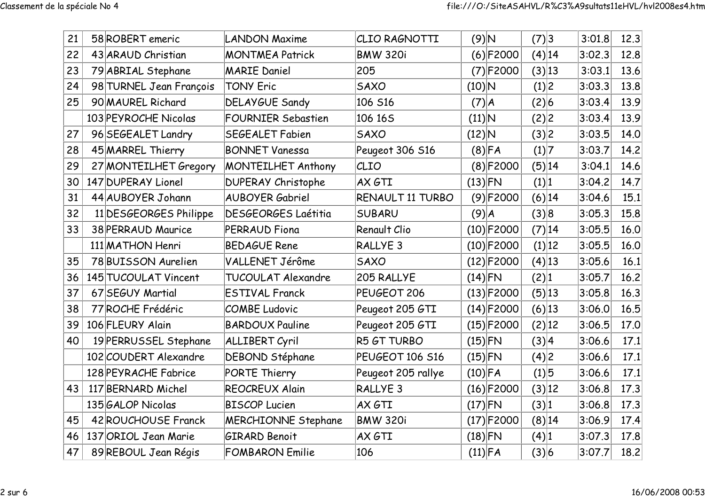| 21 | 58 ROBERT emeric        | <b>LANDON Maxime</b>       | CLIO RAGNOTTI       | $(9)$ N       |              | (7) 3    |        | 3:01.8 | 12.3 |
|----|-------------------------|----------------------------|---------------------|---------------|--------------|----------|--------|--------|------|
| 22 | 43 ARAUD Christian      | <b>MONTMEA Patrick</b>     | <b>BMW 320i</b>     |               | $(6)$ F2000  |          | (4) 14 | 3:02.3 | 12.8 |
| 23 | 79 ABRIAL Stephane      | <b>MARIE Daniel</b>        | 205                 |               | (7)F2000     | (3) 13   |        | 3:03.1 | 13.6 |
| 24 | 98 TURNEL Jean François | <b>TONY Eric</b>           | <b>SAXO</b>         | $(10)\vert N$ |              | (1) 2    |        | 3:03.3 | 13.8 |
| 25 | 90 MAUREL Richard       | <b>DELAYGUE Sandy</b>      | 106 S16             | (7) A         |              | (2) 6    |        | 3:03.4 | 13.9 |
|    | 103 PEYROCHE Nicolas    | <b>FOURNIER Sebastien</b>  | 106 165             | $(11)\vert N$ |              | (2) 2    |        | 3:03.4 | 13.9 |
| 27 | 96 SEGEALET Landry      | <b>SEGEALET Fabien</b>     | <b>SAXO</b>         | $(12)$ N      |              | (3) 2    |        | 3:03.5 | 14.0 |
| 28 | 45 MARREL Thierry       | <b>BONNET Vanessa</b>      | Peugeot 306 S16     |               | $(8)$ FA     | (1) 7    |        | 3:03.7 | 14.2 |
| 29 | 27 MONTEILHET Gregory   | <b>MONTEILHET Anthony</b>  | CLIO                |               | (8) F2000    |          | (5) 14 | 3:04.1 | 14.6 |
| 30 | 147 DUPERAY Lionel      | <b>DUPERAY Christophe</b>  | AX GTI              | $(13)$ FN     |              | (1) 1    |        | 3:04.2 | 14.7 |
| 31 | 44 AUBOYER Johann       | <b>AUBOYER Gabriel</b>     | RENAULT 11 TURBO    |               | $(9)$ F2000  |          | (6) 14 | 3:04.6 | 15.1 |
| 32 | 11 DESGEORGES Philippe  | <b>DESGEORGES Laétitia</b> | <b>SUBARU</b>       | $(9)$ $A$     |              | (3) 8    |        | 3:05.3 | 15.8 |
| 33 | 38 PERRAUD Maurice      | <b>PERRAUD Fiona</b>       | <b>Renault Clio</b> |               | $(10)$ F2000 |          | (7) 14 | 3:05.5 | 16.0 |
|    | 111 MATHON Henri        | <b>BEDAGUE Rene</b>        | RALLYE <sub>3</sub> |               | $(10)$ F2000 |          | (1) 12 | 3:05.5 | 16.0 |
| 35 | 78 BUISSON Aurelien     | VALLENET Jérôme            | <b>SAXO</b>         |               | $(12)$ F2000 | $(4)$ 13 |        | 3:05.6 | 16.1 |
| 36 | 145 TUCOULAT Vincent    | TUCOULAT Alexandre         | 205 RALLYE          | $(14)$ FN     |              | (2) 1    |        | 3:05.7 | 16.2 |
| 37 | 67 SEGUY Martial        | <b>ESTIVAL Franck</b>      | PEUGEOT 206         |               | $(13)$ F2000 |          | (5) 13 | 3:05.8 | 16.3 |
| 38 | 77 ROCHE Frédéric       | <b>COMBE Ludovic</b>       | Peugeot 205 GTI     |               | $(14)$ F2000 | $(6)$ 13 |        | 3:06.0 | 16.5 |
| 39 | 106 FLEURY Alain        | <b>BARDOUX Pauline</b>     | Peugeot 205 GTI     |               | $(15)$ F2000 |          | (2) 12 | 3:06.5 | 17.0 |
| 40 | 19 PERRUSSEL Stephane   | <b>ALLIBERT Cyril</b>      | R5 GT TURBO         | $(15)$ FN     |              | (3) 4    |        | 3:06.6 | 17.1 |
|    | 102 COUDERT Alexandre   | <b>DEBOND Stéphane</b>     | PEUGEOT 106 S16     | $(15)$ FN     |              | (4) 2    |        | 3:06.6 | 17.1 |
|    | 128 PEYRACHE Fabrice    | PORTE Thierry              | Peugeot 205 rallye  | $(10)$ FA     |              | (1) 5    |        | 3:06.6 | 17.1 |
| 43 | 117 BERNARD Michel      | <b>REOCREUX Alain</b>      | RALLYE <sub>3</sub> |               | $(16)$ F2000 | (3) 12   |        | 3:06.8 | 17.3 |
|    | 135 GALOP Nicolas       | <b>BISCOP Lucien</b>       | AX GTI              | $(17)$ FN     |              | (3) 1    |        | 3:06.8 | 17.3 |
| 45 | 42 ROUCHOUSE Franck     | <b>MERCHIONNE Stephane</b> | <b>BMW 320i</b>     |               | $(17)$ F2000 |          | (8) 14 | 3:06.9 | 17.4 |
| 46 | 137 ORIOL Jean Marie    | <b>GIRARD Benoit</b>       | AX GTI              | $(18)$ FN     |              | (4) 1    |        | 3:07.3 | 17.8 |
| 47 | 89 REBOUL Jean Régis    | <b>FOMBARON Emilie</b>     | 106                 | $(11)$ FA     |              | (3) 6    |        | 3:07.7 | 18.2 |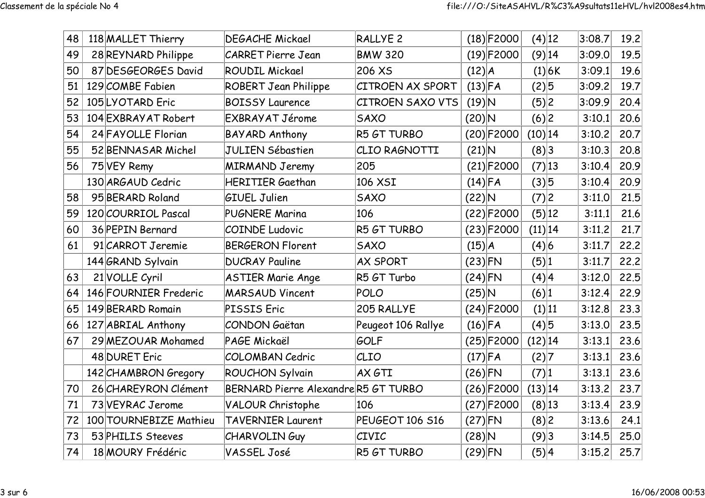| 48 | 118 MALLET Thierry     | <b>DEGACHE Mickael</b>              | RALLYE <sub>2</sub> | $(18)$ F2000 | $(4)$ 12   | 3:08.7 | 19.2 |
|----|------------------------|-------------------------------------|---------------------|--------------|------------|--------|------|
| 49 | 28 REYNARD Philippe    | <b>CARRET Pierre Jean</b>           | <b>BMW 320</b>      | $(19)$ F2000 | $(9)$ 14   | 3:09.0 | 19.5 |
| 50 | 87 DESGEORGES David    | <b>ROUDIL Mickael</b>               | 206 XS              | (12) A       | (1) 6K     | 3:09.1 | 19.6 |
| 51 | 129 COMBE Fabien       | <b>ROBERT Jean Philippe</b>         | CITROEN AX SPORT    | $(13)$ FA    | $(2)$ 5    | 3:09.2 | 19.7 |
| 52 | 105LYOTARD Eric        | <b>BOISSY Laurence</b>              | CITROEN SAXO VTS    | $(19)$ N     | (5) 2      | 3:09.9 | 20.4 |
| 53 | 104 EXBRAY AT Robert   | EXBRAYAT Jérome                     | <b>SAXO</b>         | $(20)$ N     | (6) 2      | 3:10.1 | 20.6 |
| 54 | 24 FAYOLLE Florian     | <b>BAYARD Anthony</b>               | R5 GT TURBO         | $(20)$ F2000 | (10) 14    | 3:10.2 | 20.7 |
| 55 | 52 BENNASAR Michel     | <b>JULIEN Sébastien</b>             | CLIO RAGNOTTI       | $(21)$ N     | (8) 3      | 3:10.3 | 20.8 |
| 56 | 75 VEY Remy            | <b>MIRMAND Jeremy</b>               | 205                 | $(21)$ F2000 | (7) 13     | 3:10.4 | 20.9 |
|    | 130 ARGAUD Cedric      | <b>HERITIER Gaethan</b>             | 106 XSI             | $(14)$ FA    | (3) 5      | 3:10.4 | 20.9 |
| 58 | 95 BERARD Roland       | <b>GIUEL Julien</b>                 | SAXO                | $(22)$ N     | (7) 2      | 3:11.0 | 21.5 |
| 59 | 120 COURRIOL Pascal    | <b>PUGNERE Marina</b>               | 106                 | (22) F2000   | (5) 12     | 3:11.1 | 21.6 |
| 60 | 36 PEPIN Bernard       | <b>COINDE Ludovic</b>               | R5 GT TURBO         | $(23)$ F2000 | (11) 14    | 3:11.2 | 21.7 |
| 61 | 91 CARROT Jeremie      | <b>BERGERON Florent</b>             | <b>SAXO</b>         | (15) A       | (4) 6      | 3:11.7 | 22.2 |
|    | 144 GRAND Sylvain      | <b>DUCRAY Pauline</b>               | <b>AX SPORT</b>     | $(23)$ FN    | (5) 1      | 3:11.7 | 22.2 |
| 63 | 21 VOLLE Cyril         | <b>ASTIER Marie Ange</b>            | R5 GT Turbo         | $(24)$ FN    | (4) 4      | 3:12.0 | 22.5 |
| 64 | 146 FOURNIER Frederic  | <b>MARSAUD Vincent</b>              | <b>POLO</b>         | $(25)$ N     | (6) 1      | 3:12.4 | 22.9 |
| 65 | 149 BERARD Romain      | PISSIS Eric                         | 205 RALLYE          | $(24)$ F2000 | (1) 11     | 3:12.8 | 23.3 |
| 66 | 127 ABRIAL Anthony     | CONDON Gaëtan                       | Peugeot 106 Rallye  | $(16)$ FA    | $(4)$ 5    | 3:13.0 | 23.5 |
| 67 | 29 MEZOUAR Mohamed     | PAGE Mickaël                        | GOLF                | $(25)$ F2000 | $(12)$  14 | 3:13.1 | 23.6 |
|    | 48 DURET Eric          | <b>COLOMBAN Cedric</b>              | CLIO                | $(17)$ FA    | (2) 7      | 3:13.1 | 23.6 |
|    | 142 CHAMBRON Gregory   | <b>ROUCHON Sylvain</b>              | AX GTI              | $(26)$ FN    | (7) 1      | 3:13.1 | 23.6 |
| 70 | 26 CHAREYRON Clément   | BERNARD Pierre AlexandreR5 GT TURBO |                     | $(26)$ F2000 | (13) 14    | 3:13.2 | 23.7 |
| 71 | 73 VEYRAC Jerome       | <b>VALOUR Christophe</b>            | 106                 | $(27)$ F2000 | $(8)$ 13   | 3:13.4 | 23.9 |
| 72 | 100 TOURNEBIZE Mathieu | <b>TAVERNIER Laurent</b>            | PEUGEOT 106 S16     | $(27)$ FN    | (8) 2      | 3:13.6 | 24.1 |
| 73 | 53 PHILIS Steeves      | <b>CHARVOLINGuy</b>                 | CIVIC               | $(28)$ N     | (9)3       | 3:14.5 | 25.0 |
| 74 | 18 MOURY Frédéric      | VASSEL José                         | R5 GT TURBO         | $(29)$ FN    | (5) 4      | 3:15.2 | 25.7 |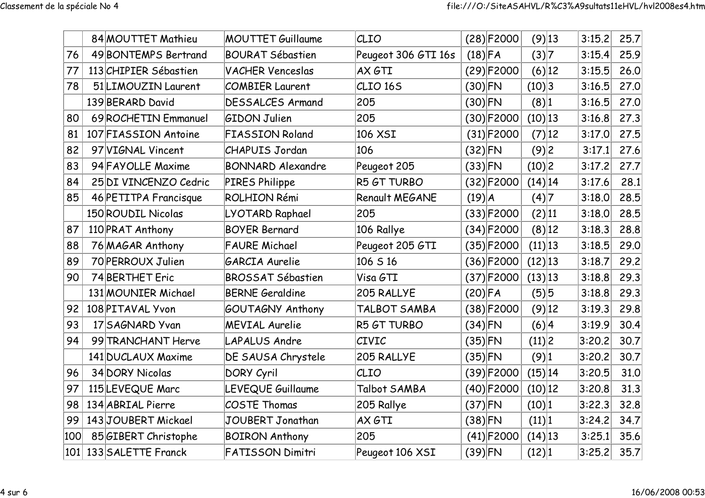|     |                                               | 84 MOUTTET Mathieu     | <b>MOUTTET Guillaume</b> | CLIO                | $(28)$ F2000 | $(9)$ 13   | 3:15.2 | 25.7 |
|-----|-----------------------------------------------|------------------------|--------------------------|---------------------|--------------|------------|--------|------|
| 76  |                                               | 49 BONTEMPS Bertrand   | <b>BOURAT Sébastien</b>  | Peugeot 306 GTI 16s | $(18)$ FA    | (3) 7      | 3:15.4 | 25.9 |
| 77  |                                               | 113 CHIPIER Sébastien  | <b>VACHER Venceslas</b>  | AX GTI              | $(29)$ F2000 | $(6)$  12  | 3:15.5 | 26.0 |
| 78  | 51 LIMOUZIN Laurent<br><b>COMBIER Laurent</b> |                        | CLIO <sub>165</sub>      | $(30)$ FN           | (10) 3       | 3:16.5     | 27.0   |      |
|     |                                               | 139 BERARD David       | <b>DESSALCES Armand</b>  | 205                 | $(30)$ FN    | (8) 1      | 3:16.5 | 27.0 |
| 80  |                                               | 69 ROCHETIN Emmanuel   | <b>GIDON Julien</b>      | 205                 | $(30)$ F2000 | $(10)$ 13  | 3:16.8 | 27.3 |
| 81  |                                               | 107 FIASSION Antoine   | <b>FIASSION Roland</b>   | 106 XSI             | $(31)$ F2000 | (7) 12     | 3:17.0 | 27.5 |
| 82  |                                               | 97 VIGNAL Vincent      | <b>CHAPUIS Jordan</b>    | 106                 | $(32)$ FN    | (9)2       | 3:17.1 | 27.6 |
| 83  |                                               | 94 FAYOLLE Maxime      | <b>BONNARD Alexandre</b> | Peugeot 205         | $(33)$ FN    | (10) 2     | 3:17.2 | 27.7 |
| 84  |                                               | 25 DI VINCENZO Cedric  | PIRES Philippe           | R5 GT TURBO         | $(32)$ F2000 | $(14)$  14 | 3:17.6 | 28.1 |
| 85  |                                               | 46 PETITPA Francisque  | <b>ROLHION Rémi</b>      | Renault MEGANE      | $(19)$ $A$   | (4) 7      | 3:18.0 | 28.5 |
|     |                                               | 150 ROUDIL Nicolas     | LYOTARD Raphael          | 205                 | $(33)$ F2000 | (2) 11     | 3:18.0 | 28.5 |
| 87  |                                               | 110 PRAT Anthony       | <b>BOYER Bernard</b>     | 106 Rallye          | $(34)$ F2000 | (8) 12     | 3:18.3 | 28.8 |
| 88  |                                               | 76 MAGAR Anthony       | <b>FAURE Michael</b>     | Peugeot 205 GTI     | $(35)$ F2000 | (11) 13    | 3:18.5 | 29.0 |
| 89  |                                               | 70 PERROUX Julien      | GARCIA Aurelie           | 106 S 16            | $(36)$ F2000 | $(12)$  13 | 3:18.7 | 29.2 |
| 90  |                                               | 74 BERTHET Eric        | <b>BROSSAT Sébastien</b> | Visa GTI            | $(37)$ F2000 | (13) 13    | 3:18.8 | 29.3 |
|     |                                               | 131 MOUNIER Michael    | <b>BERNE Geraldine</b>   | 205 RALLYE          | $(20)$ FA    | (5) 5      | 3:18.8 | 29.3 |
| 92  |                                               | 108 PITAVAL Yvon       | GOUTAGNY Anthony         | TALBOT SAMBA        | $(38)$ F2000 | $(9)$ 12   | 3:19.3 | 29.8 |
| 93  |                                               | 17 SAGNARD Yvan        | <b>MEVIAL Aurelie</b>    | R5 GT TURBO         | $(34)$ FN    | (6) 4      | 3:19.9 | 30.4 |
| 94  |                                               | 99 TRANCHANT Herve     | LAPALUS Andre            | CIVIC               | $(35)$ FN    | (11) 2     | 3:20.2 | 30.7 |
|     |                                               | 141 DUCLAUX Maxime     | DE SAUSA Chrystele       | 205 RALLYE          | $(35)$ FN    | (9) 1      | 3:20.2 | 30.7 |
| 96  |                                               | 34 DORY Nicolas        | DORY Cyril               | CLIO                | $(39)$ F2000 | (15) 14    | 3:20.5 | 31.0 |
| 97  |                                               | 115 LEVEQUE Marc       | <b>LEVEQUE Guillaume</b> | Talbot SAMBA        | $(40)$ F2000 | $(10)$  12 | 3:20.8 | 31.3 |
| 98  |                                               | 134 ABRIAL Pierre      | COSTE Thomas             | 205 Rallye          | $(37)$ FN    | (10) 1     | 3:22.3 | 32.8 |
| 99  |                                               | 143JOUBERT Mickael     | JOUBERT Jonathan         | AX GTI              | $(38)$ FN    | (11) 1     | 3:24.2 | 34.7 |
| 100 | 85 GIBERT Christophe<br><b>BOIRON Anthony</b> |                        | 205                      | $(41)$ F2000        | $(14)$  13   | 3:25.1     | 35.6   |      |
|     |                                               | 101 133 SALETTE Franck | FATISSON Dimitri         | Peugeot 106 XSI     | $(39)$ FN    | (12) 1     | 3:25.2 | 35.7 |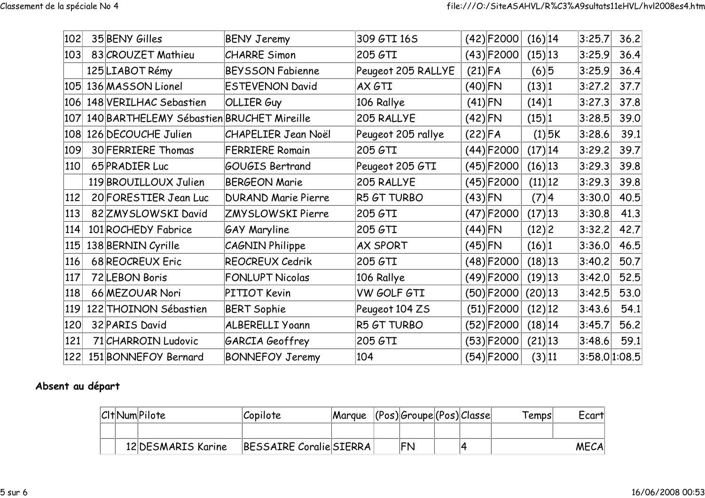| 102 |                | 35 BENY Gilles<br><b>BENY Jeremy</b>      |                            | 309 GTI 16S        | $(42)$ F2000 | $(16)$  14 | 3:25.7        | 36.2 |
|-----|----------------|-------------------------------------------|----------------------------|--------------------|--------------|------------|---------------|------|
| 103 |                | 83 CROUZET Mathieu                        | <b>CHARRE Simon</b>        | 205 GTI            | $(43)$ F2000 | $(15)$  13 | 3:25.9        | 36.4 |
|     |                | 125 LIABOT Rémy                           | <b>BEYSSON Fabienne</b>    | Peugeot 205 RALLYE | $(21)$ FA    | (6) 5      | 3:25.9        | 36.4 |
|     |                | $ 105 $ 136 MASSON Lionel                 | <b>ESTEVENON David</b>     | AX GTI             | $(40)$ FN    | (13) 1     | 3:27.2        | 37.7 |
| 106 |                | 148 VERILHAC Sebastien                    | OLLIER Guy                 | 106 Rallye         | $(41)$ FN    | (14) 1     | 3:27.3        | 37.8 |
| 107 |                | 140 BARTHELEMY Sébastien BRUCHET Mireille |                            | 205 RALLYE         | $(42)$ FN    | (15) 1     | 3:28.5        | 39.0 |
| 108 |                | 126 DECOUCHE Julien                       | <b>CHAPELIER Jean Noël</b> | Peugeot 205 rallye | $(22)$ FA    | $(1)$ 5K   | 3:28.6        | 39.1 |
| 109 |                | 30 FERRIERE Thomas                        | <b>FERRIERE Romain</b>     | 205 GTI            | $(44)$ F2000 | (17) 14    | 3:29.2        | 39.7 |
| 110 | 65 PRADIER Luc |                                           | <b>GOUGIS Bertrand</b>     | Peugeot 205 GTI    | $(45)$ F2000 | $(16)$  13 | 3:29.3        | 39.8 |
|     |                | 119 BROUILLOUX Julien                     | <b>BERGEON Marie</b>       | 205 RALLYE         | $(45)$ F2000 | (11) 12    | 3:29.3        | 39.8 |
| 112 |                | 20 FORESTIER Jean Luc                     | <b>DURAND Marie Pierre</b> | R5 GT TURBO        | $(43)$ FN    | (7) 4      | 3:30.0        | 40.5 |
| 113 |                | 82 ZMY SLOWSKI David                      | ZMYSLOWSKI Pierre          | 205 GTI            | $(47)$ F2000 | $(17)$  13 | 3:30.8        | 41.3 |
| 114 |                | 101 ROCHEDY Fabrice                       | <b>GAY Maryline</b>        | 205 GTI            | $(44)$ FN    | (12) 2     | 3:32.2        | 42.7 |
| 115 |                | 138 BERNIN Cyrille                        | CAGNIN Philippe            | <b>AX SPORT</b>    | $(45)$ FN    | (16) 1     | 3:36.0        | 46.5 |
| 116 |                | 68 REOCREUX Eric                          | REOCREUX Cedrik            | 205 GTI            | $(48)$ F2000 | $(18)$  13 | 3:40.2        | 50.7 |
| 117 |                | 72 LEBON Boris                            | <b>FONLUPT Nicolas</b>     | 106 Rallye         | $(49)$ F2000 | $(19)$ 13  | 3:42.0        | 52.5 |
| 118 |                | 66 MEZOUAR Nori                           | PITIOT Kevin               | VW GOLF GTI        | $(50)$ F2000 | $(20)$ 13  | 3:42.5        | 53.0 |
| 119 |                | 122 THOINON Sébastien                     | <b>BERT Sophie</b>         | Peugeot 104 ZS     | $(51)$ F2000 | $(12)$  12 | 3:43.6        | 54.1 |
| 120 |                | 32 PARIS David                            | ALBERELLI Yoann            | R5 GT TURBO        | $(52)$ F2000 | $(18)$  14 | 3:45.7        | 56.2 |
| 121 |                | 71 CHARROIN Ludovic                       | GARCIA Geoffrey            | 205 GTI            | $(53)$ F2000 | $(21)$  13 | 3:48.6        | 59.1 |
| 122 |                | 151 BONNEFOY Bernard                      | <b>BONNEFOY Jeremy</b>     | 104                | $(54)$ F2000 | (3) 11     | 3:58.0 1:08.5 |      |

## Absent au départ

|  | C <sub>I</sub> t Num Pilote | Copilote                | Margue | $ ({\sf Pos}) $ Groupe $ ({\sf Pos}) $ Classe |  | Temps | Ecart       |
|--|-----------------------------|-------------------------|--------|-----------------------------------------------|--|-------|-------------|
|  |                             |                         |        |                                               |  |       |             |
|  | 12 DESMARIS Karine          | BESSAIRE Coralie SIERRA |        | 'FN                                           |  |       | <b>MECA</b> |